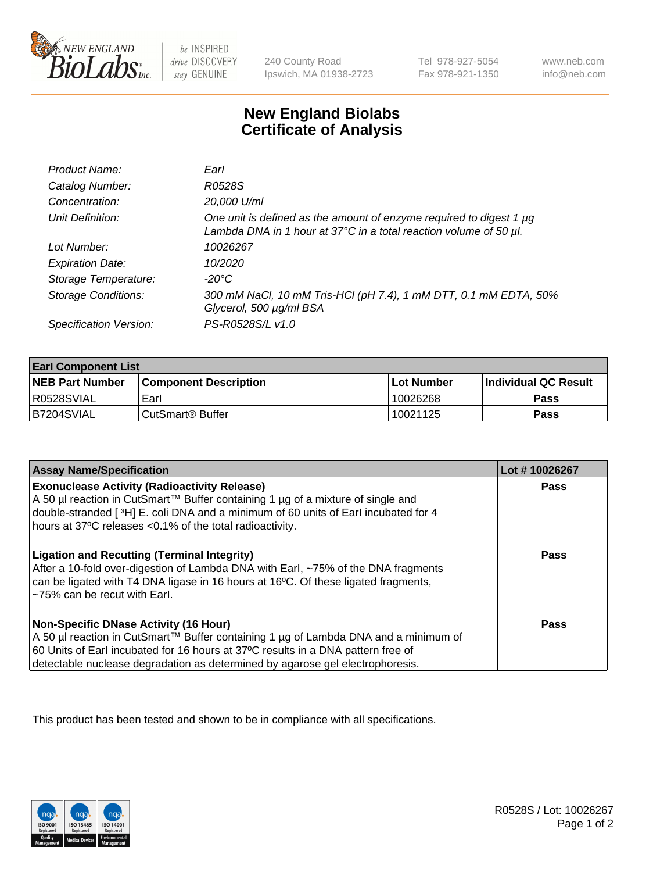

 $be$  INSPIRED drive DISCOVERY stay GENUINE

240 County Road Ipswich, MA 01938-2723 Tel 978-927-5054 Fax 978-921-1350 www.neb.com info@neb.com

## **New England Biolabs Certificate of Analysis**

| Product Name:              | Earl                                                                                                                                                    |
|----------------------------|---------------------------------------------------------------------------------------------------------------------------------------------------------|
| Catalog Number:            | R0528S                                                                                                                                                  |
| Concentration:             | 20,000 U/ml                                                                                                                                             |
| Unit Definition:           | One unit is defined as the amount of enzyme required to digest 1 µg<br>Lambda DNA in 1 hour at $37^{\circ}$ C in a total reaction volume of 50 $\mu$ l. |
| Lot Number:                | 10026267                                                                                                                                                |
| <b>Expiration Date:</b>    | 10/2020                                                                                                                                                 |
| Storage Temperature:       | -20°C                                                                                                                                                   |
| <b>Storage Conditions:</b> | 300 mM NaCl, 10 mM Tris-HCl (pH 7.4), 1 mM DTT, 0.1 mM EDTA, 50%<br>Glycerol, 500 µg/ml BSA                                                             |
| Specification Version:     | PS-R0528S/L v1.0                                                                                                                                        |

| <b>Earl Component List</b> |                              |                   |                             |  |
|----------------------------|------------------------------|-------------------|-----------------------------|--|
| <b>NEB Part Number</b>     | <b>Component Description</b> | <b>Lot Number</b> | <b>Individual QC Result</b> |  |
| I R0528SVIAL               | Earl                         | 10026268          | <b>Pass</b>                 |  |
| IB7204SVIAL                | ⊧CutSmart® Buffer            | 10021125          | <b>Pass</b>                 |  |

| <b>Assay Name/Specification</b>                                                                                                                                                                                                                                                                            | Lot #10026267 |
|------------------------------------------------------------------------------------------------------------------------------------------------------------------------------------------------------------------------------------------------------------------------------------------------------------|---------------|
| <b>Exonuclease Activity (Radioactivity Release)</b><br>A 50 µl reaction in CutSmart™ Buffer containing 1 µg of a mixture of single and<br>double-stranded [3H] E. coli DNA and a minimum of 60 units of Earl incubated for 4<br>hours at 37°C releases <0.1% of the total radioactivity.                   | Pass          |
| <b>Ligation and Recutting (Terminal Integrity)</b><br>After a 10-fold over-digestion of Lambda DNA with Earl, ~75% of the DNA fragments<br>can be ligated with T4 DNA ligase in 16 hours at 16 <sup>o</sup> C. Of these ligated fragments,<br>~75% can be recut with Earl.                                 | Pass          |
| <b>Non-Specific DNase Activity (16 Hour)</b><br>  A 50 µl reaction in CutSmart™ Buffer containing 1 µg of Lambda DNA and a minimum of<br>60 Units of Earl incubated for 16 hours at 37°C results in a DNA pattern free of<br>detectable nuclease degradation as determined by agarose gel electrophoresis. | Pass          |

This product has been tested and shown to be in compliance with all specifications.